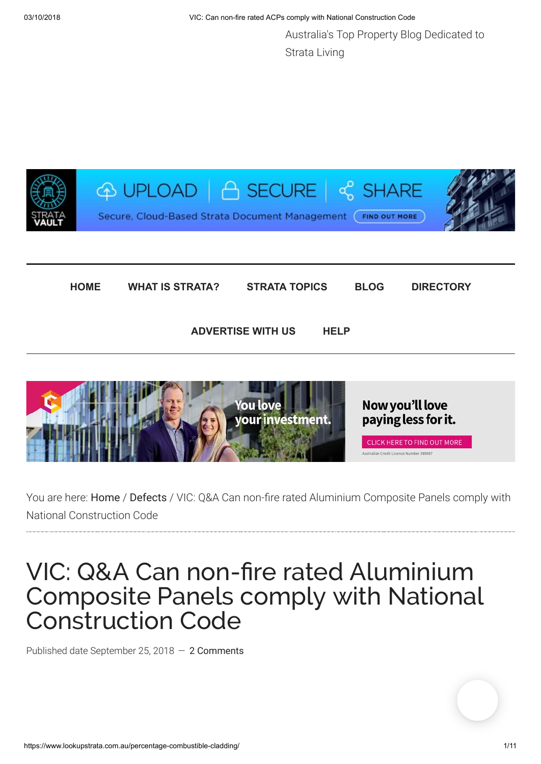Australia's Top Property Blog Dedicated to Strata Living





You are here: [Home](https://www.lookupstrata.com.au/) / [Defects](https://www.lookupstrata.com.au/category/defects/) / VIC: Q&A Can non-fire rated Aluminium Composite Panels comply with National Construction Code

# VIC: Q&A Can non-fire rated Aluminium Composite Panels comply with National Construction Code

Published date September 25, 2018 — [2 Comments](#page--1-0)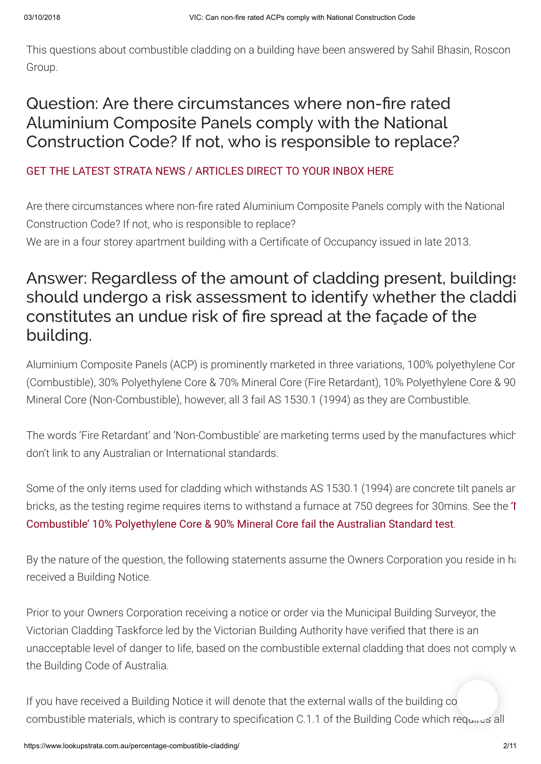This questions about combustible cladding on a building have been answered by Sahil Bhasin, Roscon Group.

## Question: Are there circumstances where non-fire rated Aluminium Composite Panels comply with the National Construction Code? If not, who is responsible to replace?

### [GET THE LATEST STRATA NEWS / ARTICLES DIRECT TO YOUR INBOX HERE](https://lookupstrata.us7.list-manage.com/subscribe?u=475482014a8d5617737f94131&id=422c8a14f2)

Are there circumstances where non-fire rated Aluminium Composite Panels comply with the National Construction Code? If not, who is responsible to replace? We are in a four storey apartment building with a Certificate of Occupancy issued in late 2013.

## Answer: Regardless of the amount of cladding present, buildings should undergo a risk assessment to identify whether the claddi constitutes an undue risk of fire spread at the façade of the building.

Aluminium Composite Panels (ACP) is prominently marketed in three variations, 100% polyethylene Cor (Combustible), 30% Polyethylene Core & 70% Mineral Core (Fire Retardant), 10% Polyethylene Core & 90 Mineral Core (Non-Combustible), however, all 3 fail AS 1530.1 (1994) as they are Combustible.

The words 'Fire Retardant' and 'Non-Combustible' are marketing terms used by the manufactures which don't link to any Australian or International standards.

Some of the only items used for cladding which withstands AS 1530.1 (1994) are concrete tilt panels an [bricks, as the testing regime requires items to withstand a furnace at 750 degrees for 30mins. See the](https://www.dropbox.com/s/wmv086rhfkjk5wc/CSIRO.mp4?dl=0) 'I Combustible' 10% Polyethylene Core & 90% Mineral Core fail the Australian Standard test.

By the nature of the question, the following statements assume the Owners Corporation you reside in has received a Building Notice.

Prior to your Owners Corporation receiving a notice or order via the Municipal Building Surveyor, the Victorian Cladding Taskforce led by the Victorian Building Authority have verified that there is an unacceptable level of danger to life, based on the combustible external cladding that does not comply w the Building Code of Australia.

If you have received a Building Notice it will denote that the external walls of the building co combustible materials, which is contrary to specification C.1.1 of the Building Code which requires all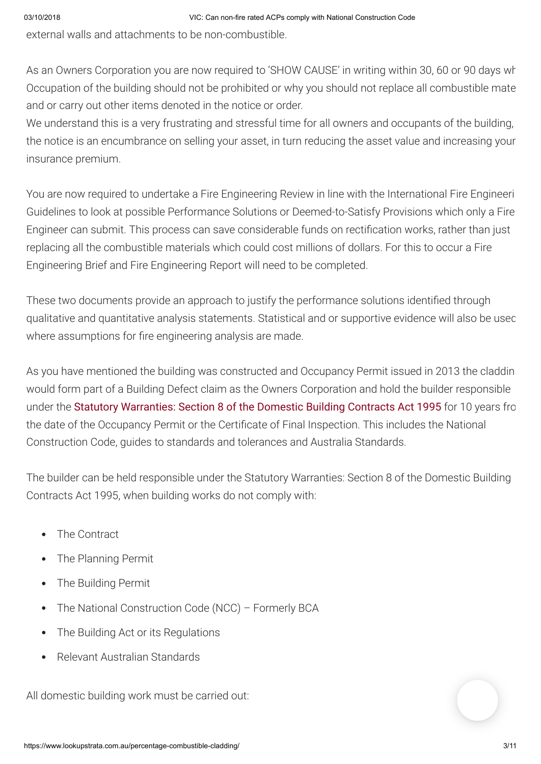external walls and attachments to be non-combustible.

As an Owners Corporation you are now required to 'SHOW CAUSE' in writing within 30, 60 or 90 days wh Occupation of the building should not be prohibited or why you should not replace all combustible mate and or carry out other items denoted in the notice or order.

We understand this is a very frustrating and stressful time for all owners and occupants of the building, the notice is an encumbrance on selling your asset, in turn reducing the asset value and increasing your insurance premium.

You are now required to undertake a Fire Engineering Review in line with the International Fire Engineeri Guidelines to look at possible Performance Solutions or Deemed-to-Satisfy Provisions which only a Fire Engineer can submit. This process can save considerable funds on rectification works, rather than just replacing all the combustible materials which could cost millions of dollars. For this to occur a Fire Engineering Brief and Fire Engineering Report will need to be completed.

These two documents provide an approach to justify the performance solutions identified through qualitative and quantitative analysis statements. Statistical and or supportive evidence will also be used where assumptions for fire engineering analysis are made.

As you have mentioned the building was constructed and Occupancy Permit issued in 2013 the claddin would form part of a Building Defect claim as the Owners Corporation and hold the builder responsible under the [Statutory Warranties: Section 8 of the Domestic Building Contracts Act 1995](http://www5.austlii.edu.au/au/legis/vic/consol_act/dbca1995275/s8.html) for 10 years fro the date of the Occupancy Permit or the Certificate of Final Inspection. This includes the National Construction Code, guides to standards and tolerances and Australia Standards.

The builder can be held responsible under the Statutory Warranties: Section 8 of the Domestic Building Contracts Act 1995, when building works do not comply with:

- The Contract  $\bullet$
- The Planning Permit  $\bullet$
- The Building Permit  $\bullet$
- The National Construction Code (NCC) Formerly BCA  $\bullet$
- The Building Act or its Regulations  $\bullet$
- Relevant Australian Standards

All domestic building work must be carried out: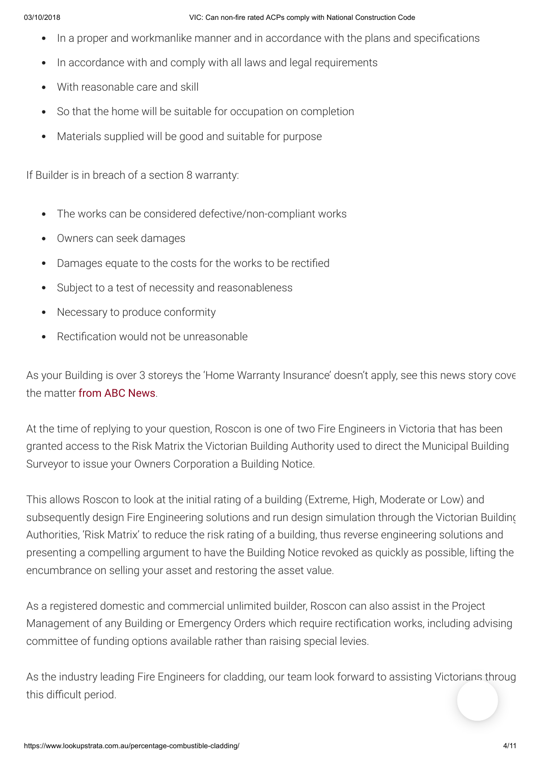#### 03/10/2018 VIC: Can non-fire rated ACPs comply with National Construction Code

- In a proper and workmanlike manner and in accordance with the plans and specifications
- In accordance with and comply with all laws and legal requirements  $\bullet$
- With reasonable care and skill  $\bullet$
- So that the home will be suitable for occupation on completion  $\bullet$
- Materials supplied will be good and suitable for purpose

If Builder is in breach of a section 8 warranty:

- The works can be considered defective/non-compliant works
- Owners can seek damages  $\bullet$
- Damages equate to the costs for the works to be rectified  $\bullet$
- Subject to a test of necessity and reasonableness  $\bullet$
- Necessary to produce conformity  $\bullet$
- Rectification would not be unreasonable  $\bullet$

As your Building is over 3 storeys the 'Home Warranty Insurance' doesn't apply, see this news story cove the matter [from ABC News](https://www.dropbox.com/s/nkjrgm3acxc9byd/ABC%20News%20VIC%20CLIP%20ROSCON.mp4?dl=0).

At the time of replying to your question, Roscon is one of two Fire Engineers in Victoria that has been granted access to the Risk Matrix the Victorian Building Authority used to direct the Municipal Building Surveyor to issue your Owners Corporation a Building Notice.

This allows Roscon to look at the initial rating of a building (Extreme, High, Moderate or Low) and subsequently design Fire Engineering solutions and run design simulation through the Victorian Building Authorities, 'Risk Matrix' to reduce the risk rating of a building, thus reverse engineering solutions and presenting a compelling argument to have the Building Notice revoked as quickly as possible, lifting the encumbrance on selling your asset and restoring the asset value.

As a registered domestic and commercial unlimited builder, Roscon can also assist in the Project Management of any Building or Emergency Orders which require rectification works, including advising committee of funding options available rather than raising special levies.

As the industry leading Fire Engineers for cladding, our team look forward to assisting Victorians throug this difficult period.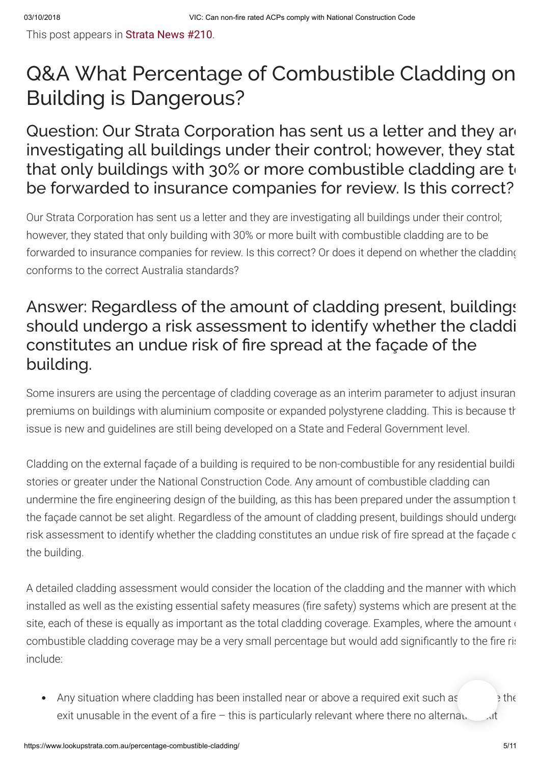This post appears in [Strata News #210](https://www.lookupstrata.com.au/strata-news/).

# Q&A What Percentage of Combustible Cladding on Building is Dangerous?

Question: Our Strata Corporation has sent us a letter and they are investigating all buildings under their control; however, they stat that only buildings with 30% or more combustible cladding are  $t_0$ be forwarded to insurance companies for review. Is this correct?

Our Strata Corporation has sent us a letter and they are investigating all buildings under their control; however, they stated that only building with 30% or more built with combustible cladding are to be forwarded to insurance companies for review. Is this correct? Or does it depend on whether the cladding conforms to the correct Australia standards?

## Answer: Regardless of the amount of cladding present, buildings should undergo a risk assessment to identify whether the claddi constitutes an undue risk of fire spread at the façade of the building.

Some insurers are using the percentage of cladding coverage as an interim parameter to adjust insuran premiums on buildings with aluminium composite or expanded polystyrene cladding. This is because th issue is new and guidelines are still being developed on a State and Federal Government level.

Cladding on the external façade of a building is required to be non-combustible for any residential buildi stories or greater under the National Construction Code. Any amount of combustible cladding can undermine the fire engineering design of the building, as this has been prepared under the assumption t the façade cannot be set alight. Regardless of the amount of cladding present, buildings should undergo risk assessment to identify whether the cladding constitutes an undue risk of fire spread at the façade c the building.

A detailed cladding assessment would consider the location of the cladding and the manner with which installed as well as the existing essential safety measures (fire safety) systems which are present at the site, each of these is equally as important as the total cladding coverage. Examples, where the amount of combustible cladding coverage may be a very small percentage but would add significantly to the fire rist include:

Any situation where cladding has been installed near or above a required exit such as the exit unusable in the event of a fire – this is particularly relevant where there no alternative exit